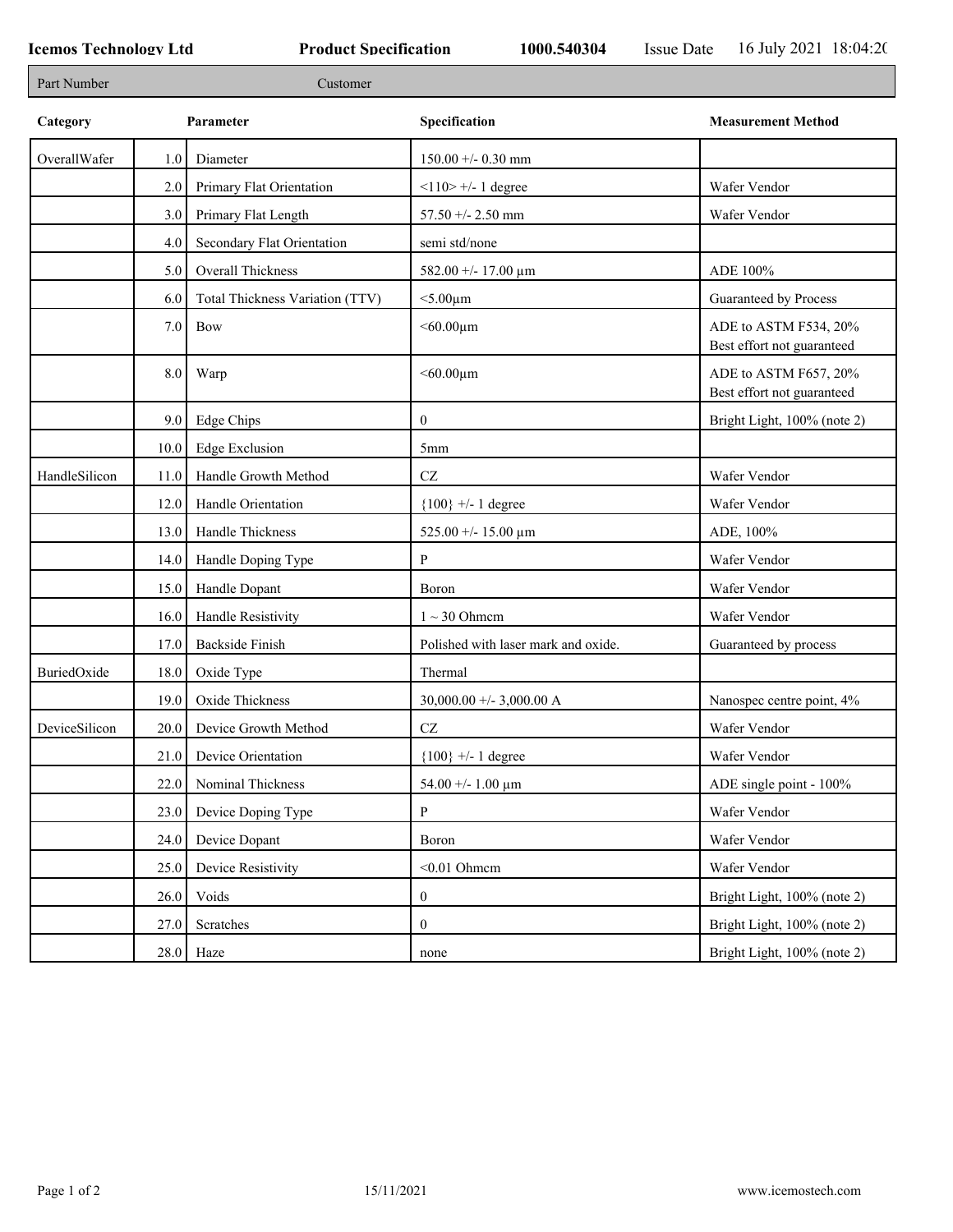Г

| Part Number<br>Customer |         |                                 |                                     |                                                     |
|-------------------------|---------|---------------------------------|-------------------------------------|-----------------------------------------------------|
| Category                |         | Parameter                       | Specification                       | <b>Measurement Method</b>                           |
| OverallWafer            | $1.0\,$ | Diameter                        | $150.00 +/- 0.30$ mm                |                                                     |
|                         | 2.0     | Primary Flat Orientation        | $<$ 110> +/- 1 degree               | Wafer Vendor                                        |
|                         | 3.0     | Primary Flat Length             | 57.50 +/- 2.50 mm                   | Wafer Vendor                                        |
|                         | 4.0     | Secondary Flat Orientation      | semi std/none                       |                                                     |
|                         | 5.0     | Overall Thickness               | 582.00 +/- 17.00 $\mu$ m            | ADE 100%                                            |
|                         | 6.0     | Total Thickness Variation (TTV) | $<$ 5.00 $\mu$ m                    | Guaranteed by Process                               |
|                         | 7.0     | <b>Bow</b>                      | $<$ 60.00 $\mu$ m                   | ADE to ASTM F534, 20%<br>Best effort not guaranteed |
|                         | $8.0\,$ | Warp                            | $<$ 60.00 $\mu$ m                   | ADE to ASTM F657, 20%<br>Best effort not guaranteed |
|                         | 9.0     | <b>Edge Chips</b>               | $\mathbf{0}$                        | Bright Light, 100% (note 2)                         |
|                         | 10.0    | <b>Edge Exclusion</b>           | 5 <sub>mm</sub>                     |                                                     |
| HandleSilicon           | 11.0    | Handle Growth Method            | $\operatorname{CZ}$                 | Wafer Vendor                                        |
|                         | 12.0    | Handle Orientation              | ${100}$ +/- 1 degree                | Wafer Vendor                                        |
|                         | 13.0    | Handle Thickness                | 525.00 +/- 15.00 $\mu$ m            | ADE, 100%                                           |
|                         | 14.0    | Handle Doping Type              | P                                   | Wafer Vendor                                        |
|                         | 15.0    | Handle Dopant                   | Boron                               | Wafer Vendor                                        |
|                         | 16.0    | Handle Resistivity              | $1 \sim 30$ Ohmem                   | Wafer Vendor                                        |
|                         | 17.0    | <b>Backside Finish</b>          | Polished with laser mark and oxide. | Guaranteed by process                               |
| BuriedOxide             | 18.0    | Oxide Type                      | Thermal                             |                                                     |
|                         | 19.0    | Oxide Thickness                 | 30,000.00 +/- 3,000.00 A            | Nanospec centre point, 4%                           |
| DeviceSilicon           | 20.0    | Device Growth Method            | $\operatorname{CZ}$                 | Wafer Vendor                                        |
|                         | 21.0    | Device Orientation              | ${100}$ +/- 1 degree                | Wafer Vendor                                        |
|                         | 22.0    | Nominal Thickness               | 54.00 +/- 1.00 $\mu$ m              | ADE single point - 100%                             |
|                         | 23.0    | Device Doping Type              | $\mathbf{P}$                        | Wafer Vendor                                        |
|                         | 24.0    | Device Dopant                   | Boron                               | Wafer Vendor                                        |
|                         | 25.0    | Device Resistivity              | $<$ 0.01 Ohmcm                      | Wafer Vendor                                        |
|                         | 26.0    | Voids                           | $\boldsymbol{0}$                    | Bright Light, 100% (note 2)                         |
|                         | 27.0    | Scratches                       | $\mathbf{0}$                        | Bright Light, 100% (note 2)                         |
|                         | 28.0    | Haze                            | none                                | Bright Light, 100% (note 2)                         |